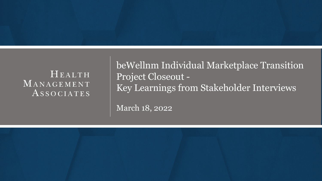# HEALTH MANAGEMENT ASSOCIATES

beWellnm Individual Marketplace Transition Project Closeout - Key Learnings from Stakeholder Interviews

March 18, 2022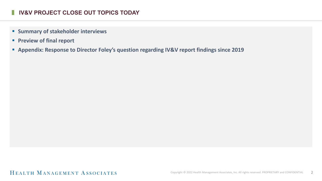#### **I** IV&V PROJECT CLOSE OUT TOPICS TODAY

- **E** Summary of stakeholder interviews
- **Preview of final report**
- **Appendix: Response to Director Foley's question regarding IV&V report findings since 2019**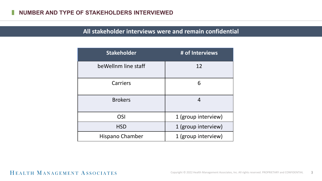# **All stakeholder interviews were and remain confidential**

| <b>Stakeholder</b>  | # of Interviews     |
|---------------------|---------------------|
| beWellnm line staff | 12                  |
| Carriers            | 6                   |
| <b>Brokers</b>      | 4                   |
| OSI                 | 1 (group interview) |
| <b>HSD</b>          | 1 (group interview) |
| Hispano Chamber     | 1 (group interview) |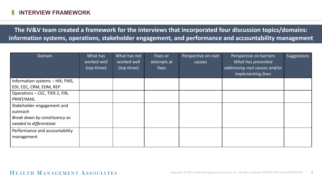**The IV&V team created a framework for the interviews that incorporated four discussion topics/domains: information systems, operations, stakeholder engagement, and performance and accountability management**

| Domain                                       | What has<br>worked well<br>(top three) | What has not<br>worked well<br>(top three) | <b>Fixes or</b><br>attempts at<br>fixes | Perspective on root<br>causes | Perspective on barriers<br>What has prevented<br>addressing root causes and/or<br><i>implementing fixes</i> | Suggestions |
|----------------------------------------------|----------------------------------------|--------------------------------------------|-----------------------------------------|-------------------------------|-------------------------------------------------------------------------------------------------------------|-------------|
| Information systems - HIX, FMS,              |                                        |                                            |                                         |                               |                                                                                                             |             |
| EDI, CEC, CRM, EDM, REP                      |                                        |                                            |                                         |                               |                                                                                                             |             |
| Operations - CEC, TIER 2, FIN,               |                                        |                                            |                                         |                               |                                                                                                             |             |
| PRINT/MAIL                                   |                                        |                                            |                                         |                               |                                                                                                             |             |
| Stakeholder engagement and                   |                                        |                                            |                                         |                               |                                                                                                             |             |
| outreach                                     |                                        |                                            |                                         |                               |                                                                                                             |             |
| Break down by constituency as                |                                        |                                            |                                         |                               |                                                                                                             |             |
| needed to differentiate                      |                                        |                                            |                                         |                               |                                                                                                             |             |
| Performance and accountability<br>management |                                        |                                            |                                         |                               |                                                                                                             |             |
|                                              |                                        |                                            |                                         |                               |                                                                                                             |             |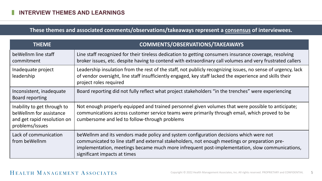# **These themes and associated comments/observations/takeaways represent a consensus of interviewees.**

| <b>THEME</b>                                                                                              | <b>COMMENTS/OBSERVATIONS/TAKEAWAYS</b>                                                                                                                                                                                                                                                                                     |
|-----------------------------------------------------------------------------------------------------------|----------------------------------------------------------------------------------------------------------------------------------------------------------------------------------------------------------------------------------------------------------------------------------------------------------------------------|
| be Wellnm line staff<br>commitment                                                                        | Line staff recognized for their tireless dedication to getting consumers insurance coverage, resolving<br>broker issues, etc. despite having to contend with extraordinary call volumes and very frustrated callers                                                                                                        |
| Inadequate project<br>leadership                                                                          | Leadership insulation from the rest of the staff, not publicly recognizing issues, no sense of urgency, lack<br>of vendor oversight, line staff insufficiently engaged, key staff lacked the experience and skills their<br>project roles required                                                                         |
| Inconsistent, inadequate<br><b>Board reporting</b>                                                        | Board reporting did not fully reflect what project stakeholders "in the trenches" were experiencing                                                                                                                                                                                                                        |
| Inability to get through to<br>be Wellnm for assistance<br>and get rapid resolution on<br>problems/issues | Not enough properly equipped and trained personnel given volumes that were possible to anticipate;<br>communications across customer service teams were primarily through email, which proved to be<br>cumbersome and led to follow-through problems                                                                       |
| Lack of communication<br>from beWellnm                                                                    | be Wellnm and its vendors made policy and system configuration decisions which were not<br>communicated to line staff and external stakeholders, not enough meetings or preparation pre-<br>implementation, meetings became much more infrequent post-implementation, slow communications,<br>significant impacts at times |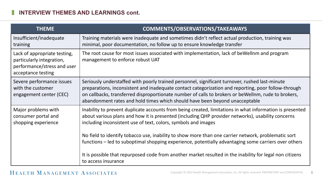| <b>THEME</b>                                                                                                   | <b>COMMENTS/OBSERVATIONS/TAKEAWAYS</b>                                                                                                                                                                                                                                                                                                                                                       |
|----------------------------------------------------------------------------------------------------------------|----------------------------------------------------------------------------------------------------------------------------------------------------------------------------------------------------------------------------------------------------------------------------------------------------------------------------------------------------------------------------------------------|
| Insufficient/inadequate<br>training                                                                            | Training materials were inadequate and sometimes didn't reflect actual production, training was<br>minimal, poor documentation, no follow up to ensure knowledge transfer                                                                                                                                                                                                                    |
| Lack of appropriate testing,<br>particularly integration,<br>performance/stress and user<br>acceptance testing | The root cause for most issues associated with implementation, lack of beWellnm and program<br>management to enforce robust UAT                                                                                                                                                                                                                                                              |
| Severe performance issues<br>with the customer<br>engagement center (CEC)                                      | Seriously understaffed with poorly trained personnel, significant turnover, rushed last-minute<br>preparations, inconsistent and inadequate contact categorization and reporting, poor follow-through<br>on callbacks, transferred disproportionate number of calls to brokers or be Wellnm, rude to brokers,<br>abandonment rates and hold times which should have been beyond unacceptable |
| Major problems with<br>consumer portal and<br>shopping experience                                              | Inability to prevent duplicate accounts from being created, limitations in what information is presented<br>about various plans and how it is presented (including QHP provider networks), usability concerns<br>including inconsistent use of text, colors, symbols and images                                                                                                              |
|                                                                                                                | No field to identify tobacco use, inability to show more than one carrier network, problematic sort<br>functions – led to suboptimal shopping experience, potentially advantaging some carriers over others                                                                                                                                                                                  |
|                                                                                                                | It is possible that repurposed code from another market resulted in the inability for legal non citizens<br>to access insurance                                                                                                                                                                                                                                                              |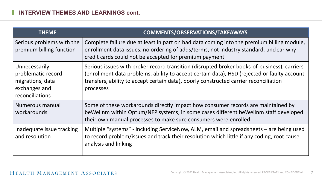| <b>THEME</b>                                                                                | <b>COMMENTS/OBSERVATIONS/TAKEAWAYS</b>                                                                                                                                                                                                                                                           |
|---------------------------------------------------------------------------------------------|--------------------------------------------------------------------------------------------------------------------------------------------------------------------------------------------------------------------------------------------------------------------------------------------------|
| Serious problems with the<br>premium billing function                                       | Complete failure due at least in part on bad data coming into the premium billing module,<br>enrollment data issues, no ordering of adds/terms, not industry standard, unclear why<br>credit cards could not be accepted for premium payment                                                     |
| Unnecessarily<br>problematic record<br>migrations, data<br>exchanges and<br>reconciliations | Serious issues with broker record transition (disrupted broker books-of-business), carriers<br>(enrollment data problems, ability to accept certain data), HSD (rejected or faulty account<br>transfers, ability to accept certain data), poorly constructed carrier reconciliation<br>processes |
| Numerous manual<br>workarounds                                                              | Some of these workarounds directly impact how consumer records are maintained by<br>beWellnm within Optum/NFP systems; in some cases different beWellnm staff developed<br>their own manual processes to make sure consumers were enrolled                                                       |
| Inadequate issue tracking<br>and resolution                                                 | Multiple "systems" - including ServiceNow, ALM, email and spreadsheets - are being used<br>to record problem/issues and track their resolution which little if any coding, root cause<br>analysis and linking                                                                                    |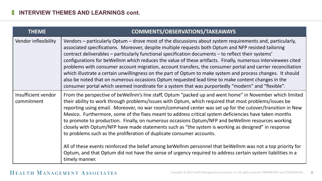| <b>THEME</b>                      | <b>COMMENTS/OBSERVATIONS/TAKEAWAYS</b>                                                                                                                                                                                                                                                                                                                                                                                                                                                                                                                                                                                                                                                                                                                                                                                                                                                                                                                                       |
|-----------------------------------|------------------------------------------------------------------------------------------------------------------------------------------------------------------------------------------------------------------------------------------------------------------------------------------------------------------------------------------------------------------------------------------------------------------------------------------------------------------------------------------------------------------------------------------------------------------------------------------------------------------------------------------------------------------------------------------------------------------------------------------------------------------------------------------------------------------------------------------------------------------------------------------------------------------------------------------------------------------------------|
| Vendor inflexibility              | Vendors – particularly Optum – drove most of the discussions about system requirements and, particularly,<br>associated specifications. Moreover, despite multiple requests both Optum and NFP resisted tailoring<br>contract deliverables – particularly functional specification documents – to reflect their systems'<br>configurations for be Wellnm which reduces the value of these artifacts. Finally, numerous interviewees cited<br>problems with consumer account migration, account transfers, the consumer portal and carrier reconciliation<br>which illustrate a certain unwillingness on the part of Optum to make system and process changes. It should<br>also be noted that on numerous occasions Optum requested lead time to make content changes in the<br>consumer portal which seemed inordinate for a system that was purportedly "modern" and "flexible".                                                                                           |
| Insufficient vendor<br>commitment | From the perspective of beWellnm's line staff, Optum "packed up and went home" in November which limited<br>their ability to work through problems/issues with Optum, which required that most problems/issues be<br>reporting using email. Moreover, no war room/command center was set up for the cutover/transition in New<br>Mexico. Furthermore, some of the fixes meant to address critical system deficiencies have taken months<br>to promote to production. Finally, on numerous occasions Optum/NFP and beWellnm resources working<br>closely with Optum/NFP have made statements such as "the system is working as designed" in response<br>to problems such as the proliferation of duplicate consumer accounts.<br>All of these events reinforced the belief among beWellnm personnel that beWellnm was not a top priority for<br>Optum, and that Optum did not have the sense of urgency required to address certain system liabilities in a<br>timely manner. |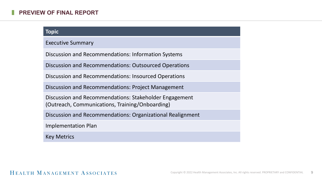#### **PREVIEW OF FINAL REPORT**

#### **Topic**

Executive Summary

Discussion and Recommendations: Information Systems

Discussion and Recommendations: Outsourced Operations

Discussion and Recommendations: Insourced Operations

Discussion and Recommendations: Project Management

Discussion and Recommendations: Stakeholder Engagement (Outreach, Communications, Training/Onboarding)

Discussion and Recommendations: Organizational Realignment

Implementation Plan

Key Metrics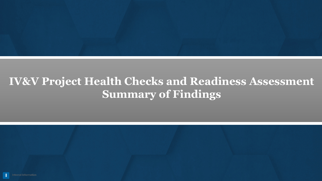

# **IV&V Project Health Checks and Readiness Assessment Summary of Findings**

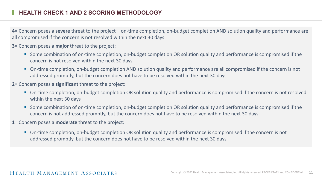#### **HEALTH CHECK 1 AND 2 SCORING METHODOLOGY**

**4**= Concern poses a **severe** threat to the project – on-time completion, on-budget completion AND solution quality and performance are all compromised if the concern is not resolved within the next 30 days

**3**= Concern poses a **major** threat to the project:

- Some combination of on-time completion, on-budget completion OR solution quality and performance is compromised if the concern is not resolved within the next 30 days
- On-time completion, on-budget completion AND solution quality and performance are all compromised if the concern is not addressed promptly, but the concern does not have to be resolved within the next 30 days
- **2**= Concern poses a **significant** threat to the project:
	- On-time completion, on-budget completion OR solution quality and performance is compromised if the concern is not resolved within the next 30 days
	- Some combination of on-time completion, on-budget completion OR solution quality and performance is compromised if the concern is not addressed promptly, but the concern does not have to be resolved within the next 30 days
- **1**= Concern poses a **moderate** threat to the project:
	- On-time completion, on-budget completion OR solution quality and performance is compromised if the concern is not addressed promptly, but the concern does not have to be resolved within the next 30 days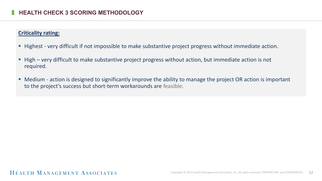#### **Criticality rating:**

- Highest very difficult if not impossible to make substantive project progress without immediate action.
- High very difficult to make substantive project progress without action, but immediate action is not required.
- Medium action is designed to significantly improve the ability to manage the project OR action is important to the project's success but short-term workarounds are feasible.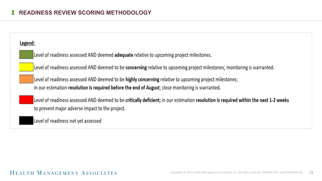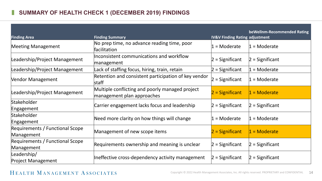# **SUMMARY OF HEALTH CHECK 1 (DECEMBER 2019) FINDINGS**

| <b>Finding Area</b>                           | <b>Finding Summary</b>                                                        | <b>IV&amp;V Finding Rating adjustment</b> | beWellnm-Recommended Rating |
|-----------------------------------------------|-------------------------------------------------------------------------------|-------------------------------------------|-----------------------------|
| <b>Meeting Management</b>                     | No prep time, no advance reading time, poor<br>facilitation                   | 1 = Moderate                              | $1 =$ Moderate              |
| Leadership/Project Management                 | Inconsistent communications and workflow<br>management                        | $ 2 =$ Significant                        | $2$ = Significant           |
| Leadership/Project Management                 | Lack of staffing focus, hiring, train, retain                                 | $2$ = Significant                         | = Moderate                  |
| Vendor Management                             | Retention and consistent participation of key vendor<br>staff                 | $ 2 =$ Significant                        | $=$ Moderate                |
| Leadership/Project Management                 | Multiple conflicting and poorly managed project<br>management plan approaches | $2 =$ Significant                         | $1 =$ Moderate              |
| Stakeholder<br>Engagement                     | Carrier engagement lacks focus and leadership                                 | $ 2 =$ Significant                        | $2 =$ Significant           |
| Stakeholder<br>Engagement                     | Need more clarity on how things will change                                   | $1 =$ Moderate                            | $1 =$ Moderate              |
| Requirements / Functional Scope<br>Management | Management of new scope items                                                 | $2$ = Significant                         | $1 =$ Moderate              |
| Requirements / Functional Scope<br>Management | Requirements ownership and meaning is unclear                                 | $ 2 =$ Significant                        | $2 =$ Significant           |
| Leadership/<br><b>Project Management</b>      | Ineffective cross-dependency activity management                              | $ 2 =$ Significant                        | 2 = Significant             |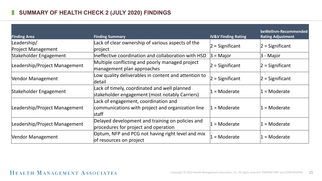# **SUMMARY OF HEALTH CHECK 2 (JULY 2020) FINDINGS**

| <b>Finding Area</b>           | <b>Finding Summary</b>                                                                                    | <b>IV&amp;V Finding Rating</b> | beWellnm-Recommended<br><b>Rating Adjustment</b> |
|-------------------------------|-----------------------------------------------------------------------------------------------------------|--------------------------------|--------------------------------------------------|
| Leadership/                   | Lack of clear ownership of various aspects of the                                                         | $2$ = Significant              | $2 =$ Significant                                |
| <b>Project Management</b>     | project                                                                                                   |                                |                                                  |
| Stakeholder Engagement        | Ineffective coordination and collaboration with HSD                                                       | $3 =$ Major                    | $ 3 -$ Major                                     |
| Leadership/Project Management | Multiple conflicting and poorly managed project<br>management plan approaches                             | $ 2 =$ Significant             | $ 2 =$ Significant                               |
| Vendor Management             | Low quality deliverables in content and attention to<br>detail                                            | $ 2 =$ Significant             | $ 2 =$ Significant                               |
| Stakeholder Engagement        | Lack of timely, coordinated and well planned<br>stakeholder engagement (most notably Carriers)            | $1 =$ Moderate                 | 1 = Moderate                                     |
| Leadership/Project Management | Lack of engagement, coordination and<br>communications with project and organization line<br><b>staff</b> | $1 =$ Moderate                 | $1 =$ Moderate                                   |
| Leadership/Project Management | Delayed development and training on policies and<br>procedures for project and operation                  | $=$ Moderate                   | $1 =$ Moderate                                   |
| <b>Vendor Management</b>      | Optum, NFP and PCG not having right level and mix<br>of resources on project                              | $=$ Moderate                   | $1 =$ Moderate                                   |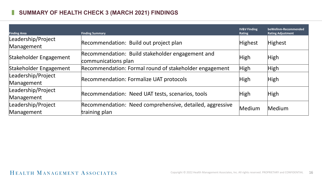# **SUMMARY OF HEALTH CHECK 3 (MARCH 2021) FINDINGS**

| <b>Finding Area</b>    | <b>Finding Summary</b>                                   | <b>IV&amp;V Finding</b><br><b>Rating</b> | beWellnm-Recommended<br><b>Rating Adjustment</b> |
|------------------------|----------------------------------------------------------|------------------------------------------|--------------------------------------------------|
| Leadership/Project     | Recommendation: Build out project plan                   | <b>Highest</b>                           | Highest                                          |
| Management             |                                                          |                                          |                                                  |
| Stakeholder Engagement | Recommendation: Build stakeholder engagement and         | High                                     | High                                             |
|                        | communications plan                                      |                                          |                                                  |
| Stakeholder Engagement | Recommendation: Formal round of stakeholder engagement   | <b>High</b>                              | High                                             |
| Leadership/Project     |                                                          |                                          |                                                  |
| Management             | Recommendation: Formalize UAT protocols                  | <b>High</b>                              | High                                             |
| Leadership/Project     |                                                          |                                          |                                                  |
| Management             | Recommendation: Need UAT tests, scenarios, tools         | <b>High</b>                              | High                                             |
| Leadership/Project     | Recommendation: Need comprehensive, detailed, aggressive | Medium                                   | Medium                                           |
| Management             | training plan                                            |                                          |                                                  |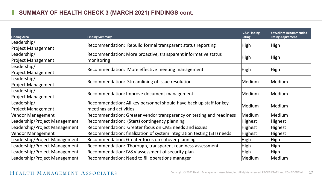# **SUMMARY OF HEALTH CHECK 3 (MARCH 2021) FINDINGS cont.**

| <b>Finding Area</b>           | <b>Finding Summary</b>                                                 | <b>IV&amp;V Finding</b><br>Rating | beWellnm-Recommended<br><b>Rating Adjustment</b> |
|-------------------------------|------------------------------------------------------------------------|-----------------------------------|--------------------------------------------------|
| Leadership/                   |                                                                        |                                   |                                                  |
| <b>Project Management</b>     | Recommendation: Rebuild formal transparent status reporting            | High                              | High                                             |
| Leadership/                   | Recommendation: More proactive, transparent informative status         |                                   |                                                  |
| <b>Project Management</b>     | monitoring                                                             | High                              | High                                             |
| Leadership/                   |                                                                        |                                   |                                                  |
| <b>Project Management</b>     | Recommendation: More effective meeting management                      | High                              | High                                             |
| Leadership/                   |                                                                        |                                   |                                                  |
| <b>Project Management</b>     | Recommendation: Streamlining of issue resolution                       | Medium                            | Medium                                           |
| Leadership/                   |                                                                        |                                   |                                                  |
| <b>Project Management</b>     | Recommendation: Improve document management                            | Medium                            | Medium                                           |
| Leadership/                   | Recommendation: All key personnel should have back up staff for key    |                                   |                                                  |
| <b>Project Management</b>     | meetings and activities                                                | Medium                            | Medium                                           |
| Vendor Management             | Recommendation: Greater vendor transparency on testing and readiness   | Medium                            | Medium                                           |
| Leadership/Project Management | Recommendation: (Start) contingency planning                           | <b>Highest</b>                    | <b>Highest</b>                                   |
| Leadership/Project Management | Recommendation: Greater focus on CMS needs and issues                  | <b>Highest</b>                    | <b>Highest</b>                                   |
| Vendor Management             | Recommendation: finalization of system integration testing (SIT) needs | <b>Highest</b>                    | <b>Highest</b>                                   |
| Leadership/Project Management | Recommendation: Greater focus on cutover planning                      | High                              | High                                             |
| Leadership/Project Management | Recommendation: Thorough, transparent readiness assessment             | High                              | High                                             |
| Leadership/Project Management | Recommendation: IV&V assessment of security plan                       | High                              | High                                             |
| Leadership/Project Management | Recommendation: Need to fill operations manager                        | Medium                            | Medium                                           |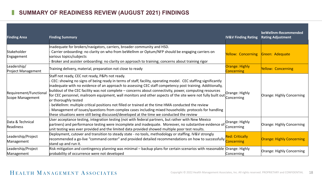# **SUMMARY OF READINESS REVIEW (AUGUST 2021) FINDINGS**

| <b>Finding Area</b>                        | <b>Finding Summary</b>                                                                                                                                                                                                                                                                                                                                                                                                                                                                                                                                                                                                                                                                                                                                                                                                                   | <b>IV&amp;V Finding Rating</b>              | beWellnm-Recommended<br><b>Rating Adjustment</b> |
|--------------------------------------------|------------------------------------------------------------------------------------------------------------------------------------------------------------------------------------------------------------------------------------------------------------------------------------------------------------------------------------------------------------------------------------------------------------------------------------------------------------------------------------------------------------------------------------------------------------------------------------------------------------------------------------------------------------------------------------------------------------------------------------------------------------------------------------------------------------------------------------------|---------------------------------------------|--------------------------------------------------|
| Stakeholder<br>Engagement                  | Inadequate for brokers/navigators, carriers, broader community and HSD.<br>Carrier onboarding: no clarity on who from beWellnm or Optum/NFP should be engaging carriers on<br>various topics/subjects<br>Broker and assister onboarding: no clarity on approach to training; concerns about training rigor                                                                                                                                                                                                                                                                                                                                                                                                                                                                                                                               | Yellow: Concerning                          | Green: Adequate                                  |
| Leadership/<br><b>Project Management</b>   | Training delivery, material, preparation not close to ready                                                                                                                                                                                                                                                                                                                                                                                                                                                                                                                                                                                                                                                                                                                                                                              | <b>Orange: Highly</b><br><b>Concerning</b>  | Yellow: Concerning                               |
| Requirement/Functional<br>Scope Management | Staff not ready, CEC not ready, P&Ps not ready.<br>CEC: showing no signs of being ready in terms of staff, facility, operating model. CEC staffing significantly<br>inadequate with no evidence of an approach to assessing CEC staff competency post training. Additionally,<br>buildout of the CEC facility was not complete - concerns about connectivity, power, computing resources<br>for CEC personnel, mailroom equipment, wall monitors and other aspects of the site were not fully built out<br>or thoroughly tested<br>beWellnm: multiple critical positions not filled or trained at the time HMA conducted the review<br>Management of issues/questions from complex cases including mixed households: protocols for handling<br>these situations were still being discussed/developed at the time we conducted the review | Orange: Highly<br>Concerning                | Orange: Highly Concerning                        |
| Data & Technical<br>Readiness              | User acceptance testing, integration testing (not with federal partners, but rather with New Mexico<br>partners) and performance testing were incomplete and inadequate. Moreover, no substantive evidence of<br>unit testing was ever provided and the limited data provided showed multiple poor test results.                                                                                                                                                                                                                                                                                                                                                                                                                                                                                                                         | Orange: Highly<br>Concerning                | Orange: Highly Concerning                        |
| Leadership/Project<br>Management           | Deployment, cutover and transition to steady state - no tools, methodology or staffing. IV&V strongly<br>recommended a go-live "command center" and provided detailed recommendations on how to successfully<br>stand up and run it.                                                                                                                                                                                                                                                                                                                                                                                                                                                                                                                                                                                                     | <b>Red: Critically</b><br><b>Concerning</b> | Orange: Highly Concerning                        |
| Leadership/Project<br>Management           | Risk mitigation and contingency planning was minimal – backup plans for certain scenarios with reasonable Orange: Highly<br>probability of occurrence were not developed                                                                                                                                                                                                                                                                                                                                                                                                                                                                                                                                                                                                                                                                 | Concerning                                  | Orange: Highly Concerning                        |